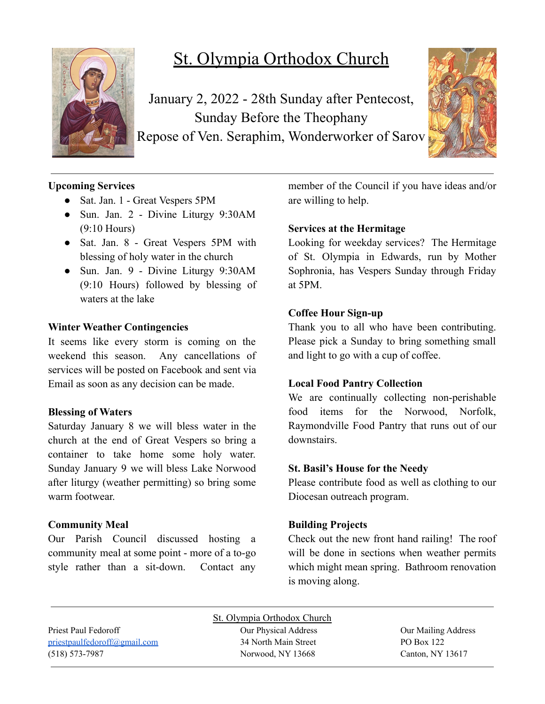

# St. Olympia Orthodox Church

January 2, 2022 - 28th Sunday after Pentecost, Sunday Before the Theophany Repose of Ven. Seraphim, Wonderworker of Sarov



# **Upcoming Services**

- Sat. Jan. 1 Great Vespers 5PM
- Sun. Jan. 2 Divine Liturgy 9:30AM (9:10 Hours)
- Sat. Jan. 8 Great Vespers 5PM with blessing of holy water in the church
- Sun. Jan. 9 Divine Liturgy 9:30AM (9:10 Hours) followed by blessing of waters at the lake

# **Winter Weather Contingencies**

It seems like every storm is coming on the weekend this season. Any cancellations of services will be posted on Facebook and sent via Email as soon as any decision can be made.

## **Blessing of Waters**

Saturday January 8 we will bless water in the church at the end of Great Vespers so bring a container to take home some holy water. Sunday January 9 we will bless Lake Norwood after liturgy (weather permitting) so bring some warm footwear

## **Community Meal**

Our Parish Council discussed hosting a community meal at some point - more of a to-go style rather than a sit-down. Contact any member of the Council if you have ideas and/or are willing to help.

# **Services at the Hermitage**

Looking for weekday services? The Hermitage of St. Olympia in Edwards, run by Mother Sophronia, has Vespers Sunday through Friday at 5PM.

# **Coffee Hour Sign-up**

Thank you to all who have been contributing. Please pick a Sunday to bring something small and light to go with a cup of coffee.

## **Local Food Pantry Collection**

We are continually collecting non-perishable food items for the Norwood, Norfolk, Raymondville Food Pantry that runs out of our downstairs.

## **St. Basil's House for the Needy**

Please contribute food as well as clothing to our Diocesan outreach program.

## **Building Projects**

Check out the new front hand railing! The roof will be done in sections when weather permits which might mean spring. Bathroom renovation is moving along.

Priest Paul Fedoroff **Our Physical Address** Our Physical Address **Our Mailing Address** [priestpaulfedoroff@gmail.com](mailto:priestpaulfedoroff@gmail.com) 34 North Main Street PO Box 122 (518) 573-7987 Norwood, NY 13668 Canton, NY 13617

St. Olympia Orthodox Church